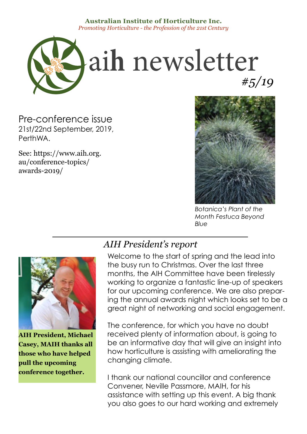#### **Australian Institute of Horticulture Inc.** *Promoting Horticulture - the Profession of the 21st Century*



Pre-conference issue 21st/22nd September, 2019, PerthWA.

See: https://www.aih.org. au/conference-topics/ awards-2019/



*Botanica's Plant of the Month Festuca Beyond Blue*



**AIH President, Michael Casey, MAIH thanks all those who have helped pull the upcoming conference together.** 

#### *AIH President's report*

Welcome to the start of spring and the lead into the busy run to Christmas. Over the last three months, the AIH Committee have been tirelessly working to organize a fantastic line-up of speakers for our upcoming conference. We are also preparing the annual awards night which looks set to be a great night of networking and social engagement.

The conference, for which you have no doubt received plenty of information about, is going to be an informative day that will give an insight into how horticulture is assisting with ameliorating the changing climate.

I thank our national councillor and conference Convener, Neville Passmore, MAIH, for his assistance with setting up this event. A big thank you also goes to our hard working and extremely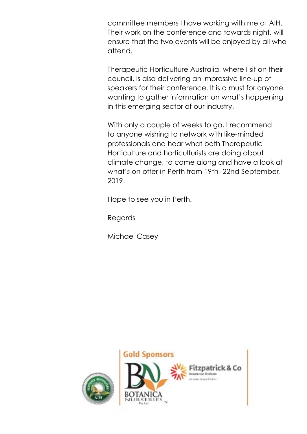committee members I have working with me at AIH. Their work on the conference and towards night, will ensure that the two events will be enjoyed by all who attend.

Therapeutic Horticulture Australia, where I sit on their council, is also delivering an impressive line-up of speakers for their conference. It is a must for anyone wanting to gather information on what's happening in this emerging sector of our industry.

With only a couple of weeks to go, I recommend to anyone wishing to network with like-minded professionals and hear what both Therapeutic Horticulture and horticulturists are doing about climate change, to come along and have a look at what's on offer in Perth from 19th- 22nd September, 2019.

Hope to see you in Perth.

Regards

Michael Casey

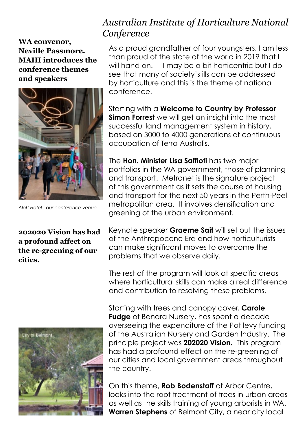**WA convenor, Neville Passmore. MAIH introduces the conference themes and speakers**



*Aloft Hotel - our conference venue*

**202020 Vision has had a profound affect on the re-greening of our cities.**



#### *Australian Institute of Horticulture National Conference*

As a proud grandfather of four youngsters, I am less than proud of the state of the world in 2019 that I will hand on. I may be a bit horticentric but I do see that many of society's ills can be addressed by horticulture and this is the theme of national conference.

Starting with a **Welcome to Country by Professor Simon Forrest** we will get an insight into the most successful land management system in history, based on 3000 to 4000 generations of continuous occupation of Terra Australis.

The **Hon. Minister Lisa Saffioti** has two major portfolios in the WA government, those of planning and transport. Metronet is the signature project of this government as it sets the course of housing and transport for the next 50 years in the Perth-Peel metropolitan area. It involves densification and greening of the urban environment.

Keynote speaker **Graeme Sait** will set out the issues of the Anthropocene Era and how horticulturists can make significant moves to overcome the problems that we observe daily.

The rest of the program will look at specific areas where horticultural skills can make a real difference and contribution to resolving these problems.

Starting with trees and canopy cover, **Carole Fudge** of Benara Nursery, has spent a decade overseeing the expenditure of the Pot levy funding of the Australian Nursery and Garden Industry. The principle project was **202020 Vision.** This program has had a profound effect on the re-greening of our cities and local government areas throughout the country.

On this theme, **Rob Bodenstaff** of Arbor Centre, looks into the root treatment of trees in urban areas as well as the skills training of young arborists in WA. **Warren Stephens** of Belmont City, a near city local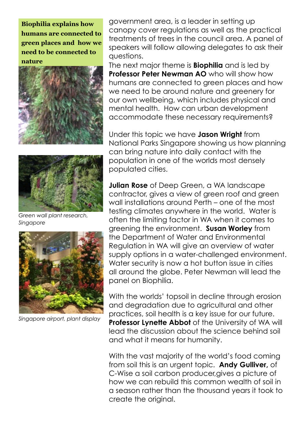**Biophilia explains how humans are connected to green places and how we need to be connected to nature**





*Green wall plant research, Singapore*



*Singapore airport, plant display*

government area, is a leader in setting up canopy cover regulations as well as the practical treatments of trees in the council area. A panel of speakers will follow allowing delegates to ask their questions.

The next major theme is **Biophilia** and is led by **Professor Peter Newman AO** who will show how humans are connected to green places and how we need to be around nature and greenery for our own wellbeing, which includes physical and mental health. How can urban development accommodate these necessary requirements?

Under this topic we have **Jason Wright** from National Parks Singapore showing us how planning can bring nature into daily contact with the population in one of the worlds most densely populated cities.

**Julian Rose** of Deep Green, a WA landscape contractor, gives a view of green roof and green wall installations around Perth – one of the most testing climates anywhere in the world. Water is often the limiting factor in WA when it comes to greening the environment. **Susan Worley** from the Department of Water and Environmental Regulation in WA will give an overview of water supply options in a water-challenged environment. Water security is now a hot button issue in cities all around the globe. Peter Newman will lead the panel on Biophilia.

With the worlds' topsoil in decline through erosion and degradation due to agricultural and other practices, soil health is a key issue for our future. **Professor Lynette Abbot** of the University of WA will lead the discussion about the science behind soil and what it means for humanity.

With the vast majority of the world's food coming from soil this is an urgent topic. **Andy Gulliver,** of C-Wise a soil carbon producer,gives a picture of how we can rebuild this common wealth of soil in a season rather than the thousand years it took to create the original.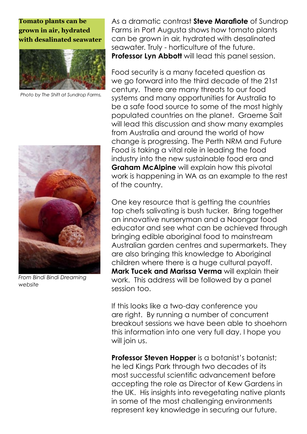#### **Tomato plants can be grown in air, hydrated with desalinated seawater**



*Photo by The Shift at Sundrop Farms,* 



*From Bindi Bindi Dreaming website*

As a dramatic contrast **Steve Marafiote** of Sundrop Farms in Port Augusta shows how tomato plants can be grown in air, hydrated with desalinated seawater. Truly - horticulture of the future. **Professor Lyn Abbott** will lead this panel session.

Food security is a many faceted question as we go forward into the third decade of the 21st century. There are many threats to our food systems and many opportunities for Australia to be a safe food source to some of the most highly populated countries on the planet. Graeme Sait will lead this discussion and show many examples from Australia and around the world of how change is progressing. The Perth NRM and Future Food is taking a vital role in leading the food industry into the new sustainable food era and **Graham McAlpine** will explain how this pivotal work is happening in WA as an example to the rest of the country.

One key resource that is getting the countries top chefs salivating is bush tucker. Bring together an innovative nurseryman and a Noongar food educator and see what can be achieved through bringing edible aboriginal food to mainstream Australian garden centres and supermarkets. They are also bringing this knowledge to Aboriginal children where there is a huge cultural payoff. **Mark Tucek and Marissa Verma** will explain their work. This address will be followed by a panel session too.

If this looks like a two-day conference you are right. By running a number of concurrent breakout sessions we have been able to shoehorn this information into one very full day. I hope you will join us.

**Professor Steven Hopper** is a botanist's botanist; he led Kings Park through two decades of its most successful scientific advancement before accepting the role as Director of Kew Gardens in the UK. His insights into revegetating native plants in some of the most challenging environments represent key knowledge in securing our future.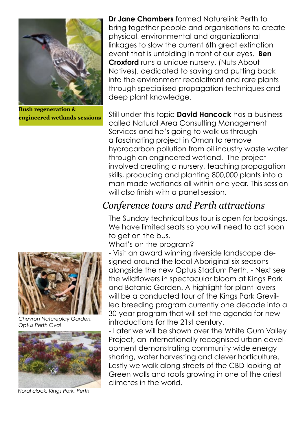

**Bush regeneration & engineered wetlands sessions**



*Chevron Natureplay Garden, Optus Perth Oval* 



*Floral clock, Kings Park, Perth*

**Dr Jane Chambers** formed Naturelink Perth to bring together people and organisations to create physical, environmental and organizational linkages to slow the current 6th great extinction event that is unfolding in front of our eyes. **Ben Croxford** runs a unique nursery, (Nuts About Natives), dedicated to saving and putting back into the environment recalcitrant and rare plants through specialised propagation techniques and deep plant knowledge.

Still under this topic **David Hancock** has a business called Natural Area Consulting Management Services and he's going to walk us through a fascinating project in Oman to remove hydrocarbon pollution from oil industry waste water through an engineered wetland. The project involved creating a nursery, teaching propagation skills, producing and planting 800,000 plants into a man made wetlands all within one year. This session will also finish with a panel session.

#### *Conference tours and Perth attractions*

The Sunday technical bus tour is open for bookings. We have limited seats so you will need to act soon to get on the bus.

What's on the program?

- Visit an award winning riverside landscape designed around the local Aboriginal six seasons alongside the new Optus Stadium Perth. - Next see the wildflowers in spectacular bloom at Kings Park and Botanic Garden. A highlight for plant lovers will be a conducted tour of the Kings Park Grevillea breeding program currently one decade into a 30-year program that will set the agenda for new introductions for the 21st century.

- Later we will be shown over the White Gum Valley Project, an internationally recognised urban development demonstrating community wide energy sharing, water harvesting and clever horticulture. Lastly we walk along streets of the CBD looking at Green walls and roofs growing in one of the driest climates in the world.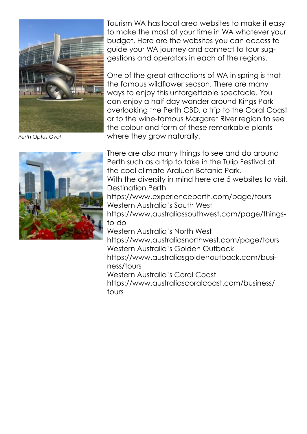

*Perth Optus Oval*

Tourism WA has local area websites to make it easy to make the most of your time in WA whatever your budget. Here are the websites you can access to guide your WA journey and connect to tour suggestions and operators in each of the regions.

One of the great attractions of WA in spring is that the famous wildflower season. There are many ways to enjoy this unforgettable spectacle. You can enjoy a half day wander around Kings Park overlooking the Perth CBD, a trip to the Coral Coast or to the wine-famous Margaret River region to see the colour and form of these remarkable plants where they grow naturally.

There are also many things to see and do around Perth such as a trip to take in the Tulip Festival at the cool climate Araluen Botanic Park. With the diversity in mind here are 5 websites to visit. Destination Perth https://www.experienceperth.com/page/tours Western Australia's South West https://www.australiassouthwest.com/page/thingsto-do Western Australia's North West https://www.australiasnorthwest.com/page/tours Western Australia's Golden Outback https://www.australiasgoldenoutback.com/business/tours Western Australia's Coral Coast https://www.australiascoralcoast.com/business/ tours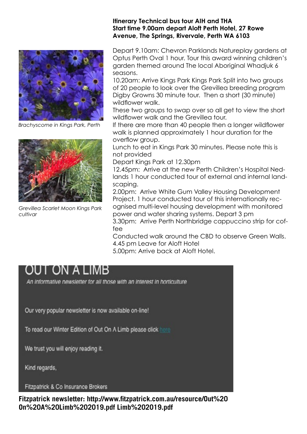

*Brachyscome in Kings Park, Perth*



*Grevillea Scarlet Moon Kings Park cultivar*

#### **Itinerary Technical bus tour AIH and THA Start time 9.00am depart Aloft Perth Hotel, 27 Rowe Avenue, The Springs, Rivervale, Perth WA 6103**

Depart 9.10am: Chevron Parklands Natureplay gardens at Optus Perth Oval 1 hour. Tour this award winning children's garden themed around The local Aboriginal Whadjuk 6 seasons.

10.20am: Arrive Kings Park Kings Park Split into two groups of 20 people to look over the Grevillea breeding program Digby Growns 30 minute tour. Then a short (30 minute) wildflower walk.

These two groups to swap over so all get to view the short wildflower walk and the Grevillea tour.

If there are more than 40 people then a longer wildflower walk is planned approximately 1 hour duration for the overflow group.

Lunch to eat in Kings Park 30 minutes. Please note this is not provided

Depart Kings Park at 12.30pm

12.45pm: Arrive at the new Perth Children's Hospital Nedlands 1 hour conducted tour of external and internal landscaping.

2.00pm: Arrive White Gum Valley Housing Development Project. 1 hour conducted tour of this internationally recognised multi-level housing development with monitored power and water sharing systems. Depart 3 pm

3.30pm: Arrive Perth Northbridge cappuccino strip for coffee

Conducted walk around the CBD to observe Green Walls. 4.45 pm Leave for Aloft Hotel

5.00pm: Arrive back at Aloft Hotel.

### OUT ON A LIMB

An informative newsletter for all those with an interest in horticulture

Our very popular newsletter is now available on-line!

To read our Winter Edition of Out On A Limb please click here

We trust you will enjoy reading it.

Kind regards,

Fitzpatrick & Co Insurance Brokers

**Fitzpatrick newsletter: http://www.fitzpatrick.com.au/resource/Out%20 On%20A%20Limb%202019.pdf Limb%202019.pdf**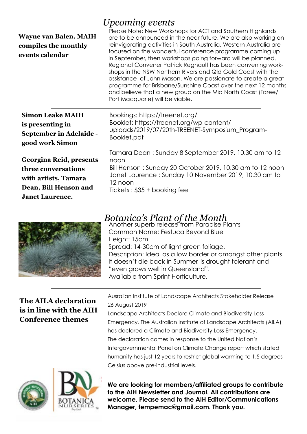| <b>Wayne van Balen, MAIH</b><br>compiles the monthly<br>events calendar                                                   | <i>Upcoming events</i><br>Please Note: New Workshops for ACT and Southern Highlands<br>are to be announced in the near future. We are also working on<br>reinvigorating activities in South Australia. Western Australia are<br>focused on the wonderful conference programme coming up<br>in September, then workshops going forward will be planned.<br>Regional Convener Patrick Regnault has been convening work-<br>shops in the NSW Northern Rivers and QId Gold Coast with the<br>assistance of John Mason. We are passionate to create a great<br>programme for Brisbane/Sunshine Coast over the next 12 months<br>and believe that a new group on the Mid North Coast (Taree/<br>Port Macquarie) will be viable. |
|---------------------------------------------------------------------------------------------------------------------------|---------------------------------------------------------------------------------------------------------------------------------------------------------------------------------------------------------------------------------------------------------------------------------------------------------------------------------------------------------------------------------------------------------------------------------------------------------------------------------------------------------------------------------------------------------------------------------------------------------------------------------------------------------------------------------------------------------------------------|
| <b>Simon Leake MAIH</b><br>is presenting in<br><b>September in Adelaide -</b><br>good work Simon                          | Bookings: https://treenet.org/<br>Booklet: https://treenet.org/wp-content/<br>uploads/2019/07/20th-TREENET-Symposium_Program-<br>Booklet.pdf                                                                                                                                                                                                                                                                                                                                                                                                                                                                                                                                                                              |
| Georgina Reid, presents<br>three conversations<br>with artists, Tamara<br>Dean, Bill Henson and<br><b>Janet Laurence.</b> | Tamara Dean: Sunday 8 September 2019, 10.30 am to 12<br>noon<br>Bill Henson: Sunday 20 October 2019, 10.30 am to 12 noon<br>Janet Laurence: Sunday 10 November 2019, 10.30 am to<br>12 noon<br>Tickets: $$35 +$ booking fee                                                                                                                                                                                                                                                                                                                                                                                                                                                                                               |



#### *Botanica's Plant of the Month*

Another superb release from Paradise Plants Common Name: Festuca Beyond Blue Height: 15cm Spread: 14-30cm of light green foliage. Description: Ideal as a low border or amongst other plants. It doesn't die back in Summer, is drought tolerant and "even grows well in Queensland". Available from Sprint Horticulture.

#### **The AILA declaration is in line with the AIH Conference themes**

Ausralian Institute of Landscape Architects Stakeholder Release 26 August 2019

Landscape Architects Declare Climate and Biodiversity Loss Emergency. The Australian Institute of Landscape Architects (AILA) has declared a Climate and Biodiversity Loss Emergency. The declaration comes in response to the United Nation's Intergovernmental Panel on Climate Change report which stated humanity has just 12 years to restrict global warming to 1.5 degrees Celsius above pre-industrial levels.





**We are looking for members/affiliated groups to contribute to the AIH Newsletter and Journal. All contributions are welcome. Please send to the AIH Editor/Communications Manager, tempemac@gmail.com. Thank you.**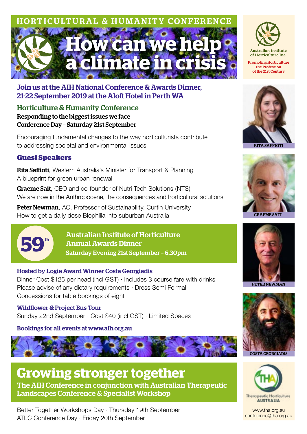## **How can we he a climate in crisis** AL & HUMANITY CONFERENCE



Horticulture & Humanity Conference Responding to the biggest issues we face Conference Day – Saturday 21st September

Encouraging fundamental changes to the way horticulturists contribute to addressing societal and environmental issues

#### **Guest Speakers**

**Rita Saffioti**, Western Australia's Minister for Transport & Planning A blueprint for green urban renewal

**Graeme Sait.** CEO and co-founder of Nutri-Tech Solutions (NTS) We are now in the Anthropocene, the consequences and horticultural solutions

Peter Newman, AO, Professor of Sustainability, Curtin University How to get a daily dose Biophilia into suburban Australia



Australian Institute of Horticulture Annual Awards Dinner Saturday Evening 21st September – 6.30pm

#### Hosted by Logie Award Winner Costa Georgiadis

Dinner Cost \$125 per head (incl GST) · Includes 3 course fare with drinks Please advise of any dietary requirements · Dress Semi Formal Concessions for table bookings of eight

#### Wildflower & Project Bus Tour

Sunday 22nd September · Cost \$40 (incl GST) · Limited Spaces

Bookings for all events at www.aih.org.au



**Growing stronger together** The AIH Conference in conjunction with Australian Therapeutic Landscapes Conference & Specialist Workshop

Better Together Workshops Day · Thursday 19th September ATLC Conference Day · Friday 20th September



of the 21st Century



RITA SAFFIOTI









www.tha.org.au conference@tha.org.au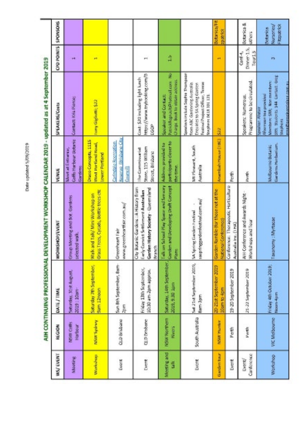Date updated 5/09/2019

|                                |                                 |                                                 | AIH CONTINUING PROFESSIONAL DEVELOPMENT WORKSHOP CALENDAR 2019 - updated as at 4 September 2019                               |                                                                    |                                                                                                                                                                       |                                  |                                     |
|--------------------------------|---------------------------------|-------------------------------------------------|-------------------------------------------------------------------------------------------------------------------------------|--------------------------------------------------------------------|-----------------------------------------------------------------------------------------------------------------------------------------------------------------------|----------------------------------|-------------------------------------|
| <b>MAY EVENT</b>               | 医白色素                            | DATE/TIME                                       | <b>MORKSHOP/EVENT</b>                                                                                                         | VENUE                                                              | SPEAKE RS/Costs                                                                                                                                                       | <b>CPD POINTS</b>                | SPONSORS                            |
| Machine                        | NSW Coffs<br>Harbour            | Softweise, 30st August.<br>2019:10am            | Group Neeting and Bot Gardens<br>selected walk.                                                                               | Coffis Harbour Botanic<br>Mare at Entrance,<br><b>Sarbara</b>      | Contact: Kris Pierce;                                                                                                                                                 | m.                               |                                     |
| Worksheep                      | NSAF Sydney                     | Saturday 7th September,<br>Sam 12noph           | Grass Trock, Cycads, Bootle trock ctd<br>Walk and Talk/ Mini Workshop on                                                      | Draco Concepts, 1115<br>West Portland Road,<br>Lower Portland      | Long Gapbotti; \$32                                                                                                                                                   | H                                |                                     |
| Event                          | QLD Brisbane                    | Sun Ish September, Bam-<br>昌海                   | www.greenheartfair.com.au/<br>Greenheart Pair                                                                                 | <b>Reserve Territoire City</b><br>Carlogale Recognizion<br>T.<br>E |                                                                                                                                                                       |                                  |                                     |
| Deept                          | <b>QLD Drisbare</b>             | Findlay 13th September,<br>10:30 am-2pm approx. | Botanic Gardens : A History from<br>Garden History Society - Queensland<br>Early Consist Settlement Australian<br>Branch<br>à | Store, 215 William<br>The Commissariat<br>Street, Brisbane         | https://www.trybooking.com/B<br>Coat: \$20 including light lunch<br>EGDP                                                                                              | mв                               |                                     |
| Meshing and<br>ã               | NSW Northern<br><b>Painters</b> | Saturday, 14th September,<br>2019 930 100       | Talk on School Play Space and Sensory<br>Garden and Developing Draft Concept<br>e<br>Rom                                      | participants closer to<br>Address provided to<br><b>District</b>   | PatrickRegious/RPhotosail.com<br>Charge: Book to obtain address.<br><b>所作100 p.R. (後者後の)</b>                                                                          | ă                                |                                     |
| Event                          | South Australia                 | Set 21st September 2019,<br><b>Ban-Jon</b>      | saspringgardenfestival.com.au/<br>H,<br>SA Spring Garden Festival                                                             | Mt Plenoent, South<br><b>Australa</b>                              | Speakers include Saphie Thompson<br>Notival Project Officer, Terror<br>from ABC Gardening Australia<br>Enquiries to SA Spring Garden<br>Repriment DELN 201 121        |                                  |                                     |
| <b>Gardian tuur</b>            | <b>NSW Hunter</b>               | 20-21st September 2019<br>10am to 4pm           | Garden Ramble (#or those not at the<br>National Conterence                                                                    | Anamburg House (180)                                               | ã                                                                                                                                                                     | H                                | <b>Botanca/Fit</b><br>印刷印           |
| Event                          | 电电平                             | 19-20 September 2019                            | Conference: Therapeutic Horticulture<br>Australia Inc. (16A)                                                                  | 長足                                                                 |                                                                                                                                                                       |                                  |                                     |
| Configuration<br><b>Event?</b> | 计定中                             | 21-22 September 2019                            | AH Conference and Awards Mant-<br>Workshops and Tour                                                                          | 电反应                                                                | Programme to be circulated.<br>Speakers: Numerous.                                                                                                                    | Direction<br>f<br>dati<br>Tour15 | Botanica &<br>others                |
| Vironkshop                     | VIC Melbourne                   | Findlay 4th October 2019;<br>Next 4pm           | Taxonomy : Myrtacae                                                                                                           | Gendero Henbertum,<br>Melbourne Botanic                            | site, Sudonts 544 Contact: Greg<br>Members \$88; Non members:<br>the total distance in security collaboration in the<br>Aftermaan ka provided<br>■ 地域の (地域の)<br>日本大阪の | m                                | Nursenes<br>Pitzpatrick<br>Distante |
|                                |                                 |                                                 |                                                                                                                               |                                                                    |                                                                                                                                                                       |                                  |                                     |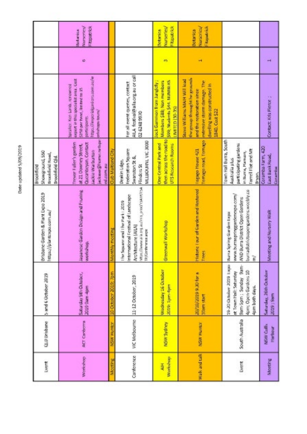Date updated 5/09/2019

| Lager                      | QLD Unistant                | 5 and 6 October 2019                                                                                                    | Bristane Garden & Plant Expo 2019<br>https://planerxpa.com.au/                                                                                                            | Showarand, 550<br>timodefield Hand,<br>Drookfield Old<br>医皮肤皮肤瘤                                                                   |                                                                                                                                                                                     |   |                                                         |
|----------------------------|-----------------------------|-------------------------------------------------------------------------------------------------------------------------|---------------------------------------------------------------------------------------------------------------------------------------------------------------------------|-----------------------------------------------------------------------------------------------------------------------------------|-------------------------------------------------------------------------------------------------------------------------------------------------------------------------------------|---|---------------------------------------------------------|
| Morkshop                   | <b>ACT Contents</b>         | Saturday 5th October,<br>2019 Sam-4pm                                                                                   | Japanese Garden Design and Pruning<br>workshop.                                                                                                                           | pelemen@harme.mds.pr<br>Inexor Fuller's garden<br>Questibleyan Contact<br>at 21 Downey Street,<br>Lacio e tearburton<br>ed com au | https://innporialgani.org/passage/en<br>expert in this specialist area. Cost<br>Speaker: Net: Lands, renawing<br>\$250 per head, limited to 15<br>orket opportunity<br>participants | ٠ | Nursenes<br><b>Reparties</b><br><b>Antarcion</b>        |
| <b>NARROW</b>              | NSN' HUMET                  | 10 October 2019; Tom                                                                                                    | <b>EDIY Reading</b><br>ŝ                                                                                                                                                  | <b>Dub Maitlang Ob</b>                                                                                                            |                                                                                                                                                                                     |   |                                                         |
| Conference                 | VIC Melbourne               | 11-12 October, 2019                                                                                                     | POINTING There is a city as first proof that PTSA<br>International Festival of Landscape<br>The Square and I have easy 2019<br>Architecture (ALIA)<br>ТР/Создателственное | MITTING THAT ARE AND<br><b>Exploration Services</b><br>Swanston St &<br>Deakin Lides<br><b>Finders</b>                            | AILA festival@aila.org.au or call<br>For all event quertes, contact<br>024489970                                                                                                    |   |                                                         |
| Worksheep<br>$\frac{1}{4}$ | NSW Sydney                  | Wednesday 16 October<br>2018: Spendar                                                                                   | Greenwall Workshap                                                                                                                                                        | then across the road to<br>Dhe Gentral Park and<br>UTS Resources                                                                  | <b>Jock Gammon from Junglety:</b><br>SRR, Students S44, NUMBERS<br>Mambers 588; Non monben<br>高度四日                                                                                  | m | <b>Nursenes</b><br>「地方のない<br><b>Sythemica</b>           |
| Walk and talk              | <b>NSW Humer</b>            | any original and for a<br>10am start                                                                                    | <b>Mistonic Tour of Garden and Restoned</b><br>Trees                                                                                                                      | <b>Tomago road, Tomago</b><br><b>The intropy offering</b>                                                                         | the group throught he grounds<br>Score Vol Farns NAMH WAT Mad<br><b>NET CONTROL EDITOR NATIONAL</b><br>dwelling was constructed in<br>and the restoration since<br>1840: Cost \$22  | Ħ | <b>Nursenes</b><br><b>Hopetrick</b><br><b>Sortanica</b> |
| Event                      | South Australia             | 19-20 Ortester 2019 traps<br>Bamban : Sunban<br><b>Apmy Open Gardens 10</b><br>et Town Hall: Saturday<br>Apm both days. | burradistrictsoperganders.weedily.co<br>www.burraspringgardenesso.com/<br>Burra District Open Gardens<br>Barra Spring Garden Expo.<br>日を<br>È                             | Town Hall Burra, South<br>participating gardens<br>Family Filet and Mt<br>in Burra, Hamon,<br>Australia plus<br>Bryan,            |                                                                                                                                                                                     |   |                                                         |
| Meeting                    | NSW Cuffs<br><b>Harbour</b> | Saturday, 26th October<br><b>ESS / STOR</b>                                                                             | Meeting and Nursery Walk                                                                                                                                                  | Coramba Farm, 420<br>East BankRoad,<br>Cursuries                                                                                  | Contact: Kits Pierce                                                                                                                                                                | ÷ |                                                         |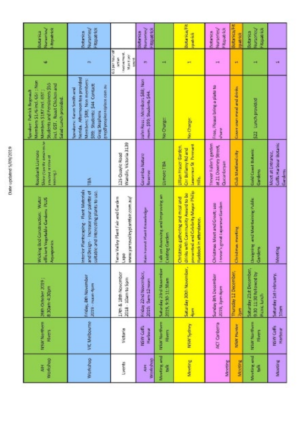| I<br>I<br>í<br>i<br>j<br>í<br>I<br>i<br>í |  |
|-------------------------------------------|--|
|                                           |  |
|                                           |  |
|                                           |  |
|                                           |  |
|                                           |  |
|                                           |  |
|                                           |  |
|                                           |  |
|                                           |  |
|                                           |  |
|                                           |  |
|                                           |  |
|                                           |  |
|                                           |  |
|                                           |  |
|                                           |  |
|                                           |  |
|                                           |  |

| <b>Numering</b><br>Hittpatrick<br><b>Submitted</b>                                                                                                                         | Nursenes/<br>Fitzpacrac<br><b>Batarica</b>                                                                                                                                              |                                                                                                | Nursenles/<br><b>Repartick</b><br>Uabanica                 |                                                       | Botanica/Fit<br><b>That also</b>                                                                                                          | Nursents/<br><b>Reported</b><br><b>Butter</b>                     | <b>Botanica</b> <sub>1</sub> Fill<br>10 Minutes | Nursenes<br>Flooding<br>Botanta                                       |                                                        |
|----------------------------------------------------------------------------------------------------------------------------------------------------------------------------|-----------------------------------------------------------------------------------------------------------------------------------------------------------------------------------------|------------------------------------------------------------------------------------------------|------------------------------------------------------------|-------------------------------------------------------|-------------------------------------------------------------------------------------------------------------------------------------------|-------------------------------------------------------------------|-------------------------------------------------|-----------------------------------------------------------------------|--------------------------------------------------------|
| usi                                                                                                                                                                        | co.                                                                                                                                                                                     | 首に (2011) に 高 村田<br>THREE PRINTS<br><b>Maximum</b><br>医阿尔<br>Î.                                | R)                                                         | н                                                     | m                                                                                                                                         | ÷                                                                 | et.                                             | н                                                                     | нŧ                                                     |
| Miemberg \$176 ind. GST ; Non<br>Students and Pensioners \$55<br>incl. 65T Root Chicken and<br>Spooker: Patrick Boynauk<br>Members \$187 ind. 681<br>Salad Lunch provided. | Nerida. Afternoon tea provided<br>Members: \$88; Non members:<br>S99: Students: S44 Contact:<br>success as alternation experience<br>Spondoms: Karon Smith and<br><b>Greek Staphens</b> |                                                                                                | John Ross ; Micedaes \$88; Non<br>mem. \$99; Students \$44 | No Charge                                             | No Changes                                                                                                                                | Free, Please bring a plate to<br><b>Reader</b>                    | Cover over most and draws                       | 522 Lunch provided                                                    |                                                        |
| Shine (Specific density trains)<br>Rosebank Lismone<br><b>The Second Second Second</b><br>(学生のある)                                                                          | É                                                                                                                                                                                       | Wandin, Victoria 3139<br>125 Quayle Road                                                       | Containdan Naturo<br><b>Reserve</b>                        | <b>Us more TBA</b>                                    | Laurence St. Permant<br><b>Ullian Frazer Garden</b><br><b>Circle Hotel And and</b><br>in die                                              | increase Fuller's garden.<br>at 21 Downey Street,<br>Ducarducyan  | Club Mattereteky                                | <b>Gold Coast Bolanic</b><br>Gardens                                  | Coffis Harbour Botanic<br>Most at Entrance.<br>Gardens |
| Wicking Bod Construction: Water<br>sellicium Vogeniais Cardera PLLS<br><b>Participation</b>                                                                                | Interior Plantscaping - Riest Matchels<br>and Design - Tricrease your palette of<br>suitable and interesting plants to use.                                                             | yac mosalieyplantbalc.com.au/<br>Valley Plant Fair and Garden<br>Partie<br><b>WWW</b><br>Ratri | <b>Nato Forest Plant Knowledge</b>                         | Lak on Assessing and in proving an<br>Existing Garden | presented and Calidarity Mayor Philip<br>drinks with Community Award to be<br>Christmas gathering and misal and<br>Ruddock in afterdance. | I new signal appearance families<br>Christmas Meet and Greet; see | mas mayding<br><b>Z</b>                         | Dospring and Maintaining Public<br>Gardens                            | Moeting                                                |
| 20th Ortober 2019<br><b>Edge: 7 # 800.48</b>                                                                                                                               | Friday, ath November<br>2019 - лишит-Фртл                                                                                                                                               | 17th & 18th November<br>2018 - 10am to Spm                                                     | Friday 22nd November,<br>2019: Sam 12 noon                 | Soltunday 28rd November<br>2019, 9:30-11:30am         | Saturday 30th November,<br>Ļ                                                                                                              | Sunday 8th December<br>2019, Sprobpm                              | Thursday 12 December,<br><b>Ram</b>             | Saturday 21st December,<br>930 11:30 followed by<br><b>None kinds</b> | <b>Manufacture Letters</b><br>10am                     |
| NSW Morthern<br>Rivers                                                                                                                                                     | <b>VIC Melbourne</b>                                                                                                                                                                    | Victoria                                                                                       | NSW Coffs<br>Harbour                                       | NSW Northern<br>Hoen                                  | NSW Sydney                                                                                                                                | ACT Carberra                                                      | <b>NSAY Hurtler</b>                             | NSW Northwen<br>Rhyan                                                 | NSW Coffin<br>Harbour                                  |
| <b>Warkshop</b><br>Į                                                                                                                                                       | Vianchep                                                                                                                                                                                | filment.                                                                                       | Vitations<br>Ę                                             | <b>Bundary and</b><br>š                               | <b>Steeling</b>                                                                                                                           | Meeting                                                           | Meeting                                         | Mandang and<br>š                                                      | <b>Meding</b>                                          |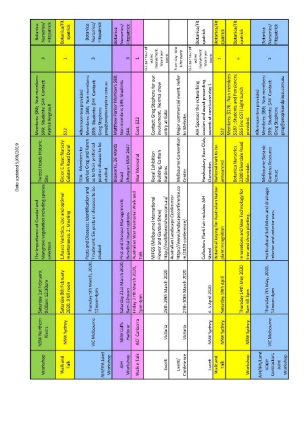| ı                      |
|------------------------|
| ۰<br>'n                |
| ł.<br>l                |
| I<br>I                 |
| I<br>ì                 |
| <b>STATE</b><br>í<br>l |
| ı                      |
|                        |
| ı                      |
| i<br>ı                 |

| 9.00am 12.30pm<br>NSAV Northern<br><b>Signals</b>                                                                | Saturday 1st February. | Mangrove vegetation including species [size]<br>The importance of Contail and<br>Annual School and Communication and Communication and Communication and Communication<br>selection | Tweed Heads Historic                                                                                           | Minnbers: \$68; Non members:<br>See Students S-4 Contact:<br>Patrick Regnault                                                                        | <b>PR</b>                                                                                     | Fitzpatrick<br>Numerical<br>西北部城市                             |
|------------------------------------------------------------------------------------------------------------------|------------------------|-------------------------------------------------------------------------------------------------------------------------------------------------------------------------------------|----------------------------------------------------------------------------------------------------------------|------------------------------------------------------------------------------------------------------------------------------------------------------|-----------------------------------------------------------------------------------------------|---------------------------------------------------------------|
| maintenance 2. Mosting<br>Sauday 8th February<br>2020, 9 till recon<br>NSW Sydney                                |                        | Likeses Varieties, Use and optimal                                                                                                                                                  | Great E Rose Nursary<br><b>Galaton Road Dural</b>                                                              | B                                                                                                                                                    | н                                                                                             | <b>Botanica/Fit</b><br><b>Spanish</b>                         |
| <b>Studied</b><br>thursday 5th March, 2020,<br>12 noon-4pm<br>VIC Melbourne                                      |                        | Treatment: Six posts or discoses to be<br>Pests and Diseases: Identification and                                                                                                    | advise Grog and Karen<br>post or disease to be<br>as to their preferred<br><b>TDA - Members to</b><br>charled. | Marribers: \$68; Non marribers:<br>SSR: Studente: S-N Contact:<br>the tasts executive and the state<br>Afternoon wa provided<br><b>Greg Stephens</b> | m                                                                                             | Fitzpatrick<br>Nursical<br>Botanica                           |
| Bernaficial insect options<br>Saturday 21st March 2020; Pest<br>Sum-12moon<br><b>MSW Com-</b><br><b>Harloour</b> |                        | and Disease Management:                                                                                                                                                             | <b>Bioworks, 26 Wards</b><br>Utungan NSW 2447<br><b>Read</b>                                                   | Matthew Parker Members 588<br>Non members \$99; Students<br>Å                                                                                        | øη                                                                                            | Numermed<br>立ちは日本<br><b>Salaries</b>                          |
| Ã<br>Friday 27th March 2020,<br>Ipm-4pm<br><b>ACT Carbonna</b>                                                   |                        | Australian War Memorial Walk and                                                                                                                                                    | <b>Michael Montgott</b>                                                                                        | Cost: 522                                                                                                                                            | a,                                                                                            |                                                               |
| MIFIES (Melbourne International<br>Flower and Garden Show<br><b>ISON CONTRACTOR</b><br>Victoria                  |                        | http://inel.bflowershow.com.au/                                                                                                                                                     | <b>Building Carton</b><br>Rayal Exhibition<br>Gardens                                                          | Contact: Greg Stephens for our<br>involvement. Normal show<br>anny at Gate                                                                           | <b>Q.5 per hear of</b><br>pacine mant.<br>Mark Boy<br><b>The Second</b>                       |                                                               |
| Australian Landscape Conference<br>m/2020-conference/<br>医假药 化乙基苯基苯胺 上升的<br>Victoria                             |                        | https://www.landscapesorference.co                                                                                                                                                  | Melbourne Convention<br>De tij pe                                                                              | Major commercial event. Refer<br>to Madaging                                                                                                         | 医温度 医单面的<br><b>B</b> Pay specific                                                             |                                                               |
| Cullectors Plant Fair Includes AH<br>Stand<br>4-5 April 2020<br>NSW Sydney                                       |                        |                                                                                                                                                                                     | Hawkesbury Rece Club,<br><b>Clarendon</b>                                                                      | washing and easist presenting<br>AIH Sporsor the retworking<br>movements are connected one clary 1                                                   | <b>QLS particular</b><br><b>BAY APPROVE</b><br><b>New Service</b><br>ii<br>V<br><b>Takers</b> | <b>Society</b> Fit<br>重量量                                     |
| plant recognition<br>Setunday 18th April<br>NSW Sydney                                                           |                        | Butanical brying for Australian Native                                                                                                                                              | <b>National Park to be</b><br><b><i><u>Announced</u></i></b>                                                   | Ď.                                                                                                                                                   | H                                                                                             | 年代の1000点<br><b>ID BEFRIE</b>                                  |
| and should planting<br><b>But</b><br>Thursday 14th May 2020<br>高田 日本<br>NSW Sydney                               |                        | Innovations and New Technology for                                                                                                                                                  | <b>2300 Shareha Road</b><br>Betanica Nurseries<br>Shortdake                                                    | \$187 ; Students and Pensioners:<br>Members: \$176 ; Noo members<br><b>SS (inclSST) Light Lunch</b><br>provided                                      | цþ.                                                                                           | <b>Botanica/Fit</b><br><b>Tailor</b>                          |
| for and redenier uses.<br>E<br>Thursday 7th May, 2020,<br>12noun-4pm<br><b>VIC Melbourne</b>                     |                        | Horticultural Soil Mixes and drainage.                                                                                                                                              | Melbourne Botanic<br><b>Gardens Resource</b><br>Venue                                                          | Members: SBR; Non members:<br>progressor program to the state<br>S99; Students; \$44 Contact:<br>Afternoon tow provided<br>Greg Stophers             | 画                                                                                             | Nursenes<br><b><i><u>Pittaneses</u></i></b><br><b>Situate</b> |